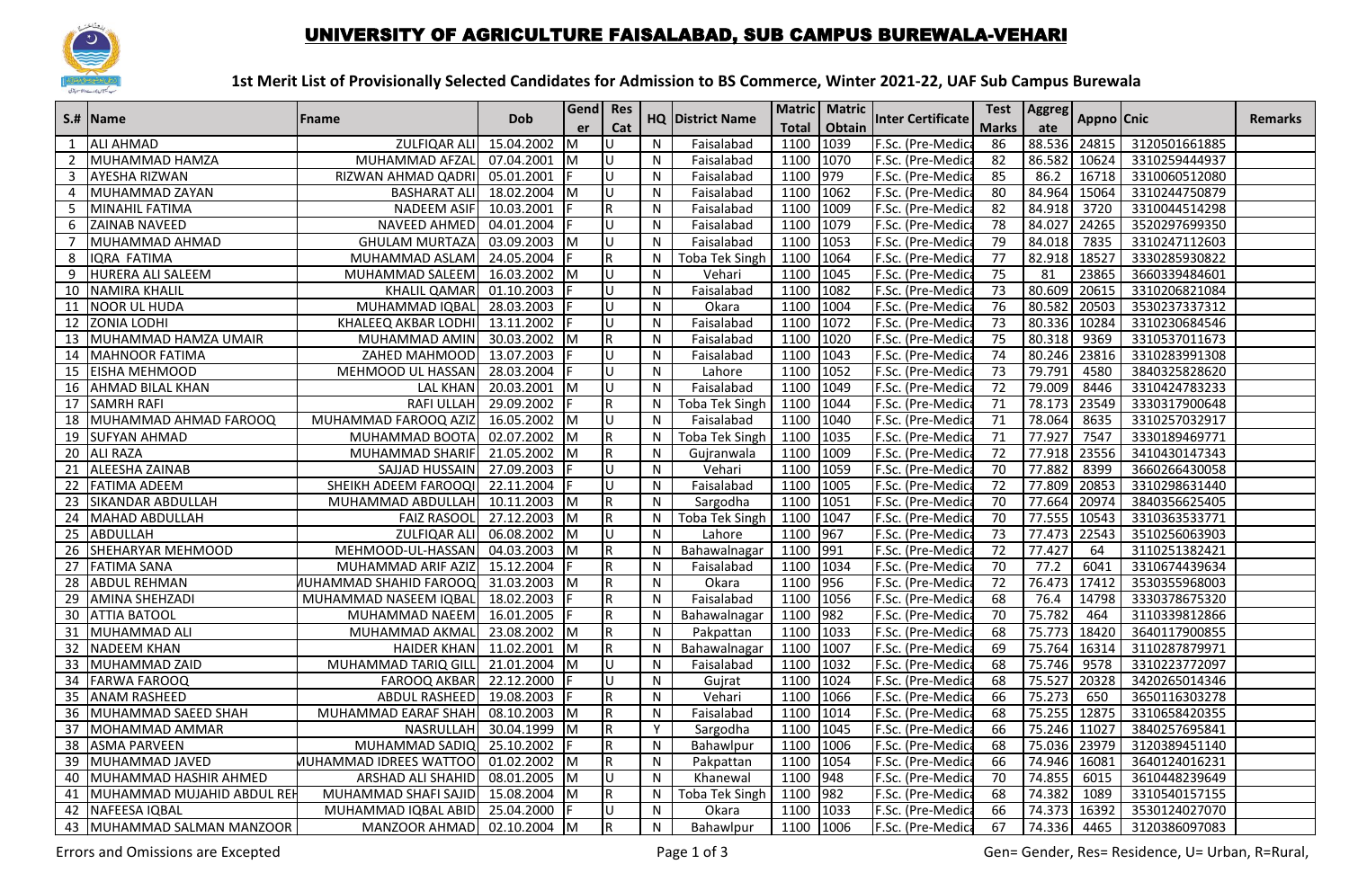

## UNIVERSITY OF AGRICULTURE FAISALABAD, SUB CAMPUS BUREWALA-VEHARI

## **1st Merit List of Provisionally Selected Candidates for Admission to BS Commerce, Winter 2021-22, UAF Sub Campus Burewala**

|                 | S.#  Name                     | <b>Fname</b>                  | <b>Dob</b>   | Gend Res  |                |              | <b>HQ District Name</b> |              | Matric   Matric  | <b>Inter Certificate</b> | <b>Test</b>     | <b>Aggreg</b> | Appno Cnic |               | <b>Remarks</b> |
|-----------------|-------------------------------|-------------------------------|--------------|-----------|----------------|--------------|-------------------------|--------------|------------------|--------------------------|-----------------|---------------|------------|---------------|----------------|
|                 |                               |                               |              | er        | Cat            |              |                         | <b>Total</b> | Obtain           |                          | <b>Marks</b>    | ate           |            |               |                |
|                 | <b>ALI AHMAD</b>              | <b>ZULFIQAR ALI</b>           | 15.04.2002   |           |                | N            | Faisalabad              | 1100         | 1039             | F.Sc. (Pre-Medic         | 86              | 88.536        | 24815      | 3120501661885 |                |
| 2               | MUHAMMAD HAMZA                | MUHAMMAD AFZAL                | 07.04.2001   | M         | U              | N            | Faisalabad              | 1100         | 1070             | F.Sc. (Pre-Medic         | 82              | 86.582        | 10624      | 3310259444937 |                |
| 3               | <b>AYESHA RIZWAN</b>          | RIZWAN AHMAD QADRI            | 05.01.2001   |           | п              | N            | Faisalabad              | 1100         | 979              | F.Sc. (Pre-Medic         | 85              | 86.2          | 16718      | 3310060512080 |                |
| $\overline{4}$  | MUHAMMAD ZAYAN                | <b>BASHARAT ALI</b>           | 18.02.2004   | Iм        | Ū              | N            | Faisalabad              | 1100         | 1062             | F.Sc. (Pre-Medica        | 80              | 84.964        | 15064      | 3310244750879 |                |
| 5               | MINAHIL FATIMA                | NADEEM ASIF                   | 10.03.2001   |           | R.             | N            | Faisalabad              | 1100         | 1009             | F.Sc. (Pre-Medic         | 82              | 84.918        | 3720       | 3310044514298 |                |
| 6               | <b>ZAINAB NAVEED</b>          | NAVEED AHMED                  | 04.01.2004   |           | U              | N            | Faisalabad              | 1100         | 1079             | F.Sc. (Pre-Medic         | 78              | 84.027        | 24265      | 3520297699350 |                |
| $\overline{7}$  | MUHAMMAD AHMAD                | <b>GHULAM MURTAZA</b>         | 03.09.2003   | Iм        | U              | N            | Faisalabad              | 1100         | 1053             | F.Sc. (Pre-Medica        | 79              | 84.018        | 7835       | 3310247112603 |                |
| 8               | IQRA FATIMA                   | MUHAMMAD ASLAM                | 24.05.2004   |           | R              | N            | <b>Toba Tek Singh</b>   | 1100         | 1064             | F.Sc. (Pre-Medic         | 77              | 82.918        | 18527      | 3330285930822 |                |
| 9               | HURERA ALI SALEEM             | MUHAMMAD SALEEM               | 16.03.2002   | IΜ        | U              | N            | Vehari                  | 1100         | 1045             | F.Sc. (Pre-Medica        | $\overline{75}$ | 81            | 23865      | 3660339484601 |                |
| 10              | <b>NAMIRA KHALIL</b>          | <b>KHALIL QAMAR</b>           | 01.10.2003   |           | U              | N            | Faisalabad              | 1100         | 1082             | F.Sc. (Pre-Medic         | 73              | 80.609        | 20615      | 3310206821084 |                |
| 11              | <b>NOOR UL HUDA</b>           | MUHAMMAD IQBAL                | 28.03.2003   |           | U              | N            | Okara                   | 1100         | 1004             | F.Sc. (Pre-Medic         | 76              | 80.582        | 20503      | 3530237337312 |                |
| 12              | <b>ZONIA LODHI</b>            | KHALEEQ AKBAR LODHI           | 13.11.2002   |           | U              | N            | Faisalabad              | 1100         | 1072             | F.Sc. (Pre-Medic         | 73              | 80.336        | 10284      | 3310230684546 |                |
| 13              | MUHAMMAD HAMZA UMAIR          | MUHAMMAD AMIN                 | 30.03.2002   |           | R              | N            | Faisalabad              | 1100         | 1020             | F.Sc. (Pre-Medic         | $\overline{75}$ | 80.318        | 9369       | 3310537011673 |                |
| 14              | MAHNOOR FATIMA                | ZAHED MAHMOOD                 | 13.07.2003   |           | U              | N            | Faisalabad              | 1100         | 1043             | F.Sc. (Pre-Medic         | 74              | 80.246        | 23816      | 3310283991308 |                |
|                 | 15 EISHA MEHMOOD              | MEHMOOD UL HASSAN             | 28.03.2004   |           | U              | N            | Lahore                  | 1100         | $\frac{1052}{ }$ | F.Sc. (Pre-Medic         | $\overline{73}$ | 79.791        | 4580       | 3840325828620 |                |
| 16              | <b>AHMAD BILAL KHAN</b>       | <b>LAL KHAN</b>               | 20.03.2001   | <b>IM</b> | Ū              | $\mathsf{N}$ | Faisalabad              | 1100         | 1049             | F.Sc. (Pre-Medic         | 72              | 79.009        | 8446       | 3310424783233 |                |
| 17              | <b>SAMRH RAFI</b>             | RAFI ULLAH                    | 29.09.2002   |           | R.             | N            | <b>Toba Tek Singh</b>   | 1100         | 1044             | F.Sc. (Pre-Medic         | 71              | 78.173        | 23549      | 3330317900648 |                |
| 18              | MUHAMMAD AHMAD FAROOQ         | MUHAMMAD FAROOQ AZIZ          | 16.05.2002   | Iм        | U              | N            | Faisalabad              | 1100         | 1040             | F.Sc. (Pre-Medic         | 71              | 78.064        | 8635       | 3310257032917 |                |
|                 | 19 SUFYAN AHMAD               | MUHAMMAD BOOTA                | 02.07.2002   | Iм        | R.             | N            | <b>Toba Tek Singh</b>   | 1100         | 1035             | F.Sc. (Pre-Medic         | $\overline{71}$ | 77.927        | 7547       | 3330189469771 |                |
|                 | 20 ALI RAZA                   | MUHAMMAD SHARIF               | 21.05.2002   | Iм        | R.             | N            | Gujranwala              | 1100         | 1009             | F.Sc. (Pre-Medic         | 72              | 77.918        | 23556      | 3410430147343 |                |
| 21              | ALEESHA ZAINAB                | SAJJAD HUSSAIN                | 27.09.2003   |           | U              | N            | Vehari                  | 1100         | 1059             | F.Sc. (Pre-Medic         | 70              | 77.882        | 8399       | 3660266430058 |                |
|                 | 22 FATIMA ADEEM               | SHEIKH ADEEM FAROOQI          | 22.11.2004   |           | U              | N            | Faisalabad              | 1100         | 1005             | F.Sc. (Pre-Medica        | 72              | 77.809        | 20853      | 3310298631440 |                |
| 23              | <b>SIKANDAR ABDULLAH</b>      | MUHAMMAD ABDULLAH             | 10.11.2003   | Iм        | $\mathsf R$    | ${\sf N}$    | Sargodha                | 1100         | 1051             | F.Sc. (Pre-Medic         | 70              | 77.664        | 20974      | 3840356625405 |                |
| 24              | MAHAD ABDULLAH                | <b>FAIZ RASOOL</b>            | 27.12.2003   | IΜ        | R              | N            | <b>Toba Tek Singh</b>   | 1100         | 1047             | F.Sc. (Pre-Medic         | $\overline{70}$ | 77.555        | 10543      | 3310363533771 |                |
|                 | 25 ABDULLAH                   | ZULFIQAR ALI                  | 06.08.2002   | Iм        | U              | N            | Lahore                  | 1100         | 967              | F.Sc. (Pre-Medica        | 73              | 77.473        | 22543      | 3510256063903 |                |
| 26              | SHEHARYAR MEHMOOD             | MEHMOOD-UL-HASSAN             | 04.03.2003   |           | R              | N            | Bahawalnagar            | 1100         | 991              | F.Sc. (Pre-Medic         | $\overline{72}$ | 77.427        | 64         | 3110251382421 |                |
| 27              | <b>FATIMA SANA</b>            | MUHAMMAD ARIF AZIZ            | 15.12.2004   |           | R.             | N            | Faisalabad              | 1100         | 1034             | F.Sc. (Pre-Medic         | 70              | 77.2          | 6041       | 3310674439634 |                |
| 28              | <b>ABDUL REHMAN</b>           | <b>NUHAMMAD SHAHID FAROOQ</b> | 31.03.2003   | IΜ        | R              | $\mathsf{N}$ | Okara                   | 1100         | 956              | F.Sc. (Pre-Medic         | 72              | 76.473        | 17412      | 3530355968003 |                |
| 29              | <b>JAMINA SHEHZADI</b>        | MUHAMMAD NASEEM IQBAL         | 18.02.2003   |           | R              | $\mathsf{N}$ | Faisalabad              | 1100         | 1056             | F.Sc. (Pre-Medic         | 68              | 76.4          | 14798      | 3330378675320 |                |
|                 | <b>30 JATTIA BATOOL</b>       | MUHAMMAD NAEEM                | 16.01.2005   |           | R.             | N            | Bahawalnagar            | 1100         | 982              | F.Sc. (Pre-Medic         | 70              | 75.782        | 464        | 3110339812866 |                |
|                 | 31 MUHAMMAD ALI               | MUHAMMAD AKMAL                | 23.08.2002 M |           | $\mathsf R$    | $\mathsf{N}$ | Pakpattan               | 1100         | 1033             | F.Sc. (Pre-Medic         | 68              | 75.773        | 18420      | 3640117900855 |                |
|                 | 32 NADEEM KHAN                | <b>HAIDER KHAN</b>            | 11.02.2001   | Iм        | R              | $\mathsf{N}$ | Bahawalnagar            | 1100         | 1007             | F.Sc. (Pre-Medic         | 69              | 75.764        | 16314      | 3110287879971 |                |
| $\overline{33}$ | MUHAMMAD ZAID                 | MUHAMMAD TARIQ GILI           | 21.01.2004   | IΜ        | Ū              | N            | Faisalabad              | 1100         | 1032             | F.Sc. (Pre-Medica        | 68              | 75.746        | 9578       | 3310223772097 |                |
| 34              | <b>FARWA FAROOQ</b>           | <b>FAROOQ AKBAR</b>           | 22.12.2000   |           | U              | N            | Gujrat                  | 1100         | 1024             | F.Sc. (Pre-Medic         | 68              | 75.527        | 20328      | 3420265014346 |                |
| 35              | <b>JANAM RASHEED</b>          | ABDUL RASHEED                 | 19.08.2003   |           | $\overline{R}$ | N            | Vehari                  | 1100         | 1066             | F.Sc. (Pre-Medic         | 66              | 75.273        | 650        | 3650116303278 |                |
| 36              | MUHAMMAD SAEED SHAH           | MUHAMMAD EARAF SHAH           | 08.10.2003   | ΙM        | R              | ${\sf N}$    | Faisalabad              | 1100         | 1014             | F.Sc. (Pre-Medic         | 68              | 75.255        | 12875      | 3310658420355 |                |
| 37              | MOHAMMAD AMMAR                | <b>NASRULLAH</b>              | 30.04.1999   | M         | R.             | Y            | Sargodha                | 1100         | 1045             | F.Sc. (Pre-Medic         | 66              | 75.246        | 11027      | 3840257695841 |                |
|                 | 38 ASMA PARVEEN               | MUHAMMAD SADIQ                | 25.10.2002   |           | R              | N            | Bahawlpur               | 1100         | 1006             | F.Sc. (Pre-Medica        | 68              | 75.036 23979  |            | 3120389451140 |                |
| 39              | MUHAMMAD JAVED                | <b>NUHAMMAD IDREES WATTOO</b> | 01.02.2002   | Iм        | R              | N            | Pakpattan               | 1100         | 1054             | F.Sc. (Pre-Medic         | 66              | 74.946        | 16081      | 3640124016231 |                |
| 40              | MUHAMMAD HASHIR AHMED         | ARSHAD ALI SHAHID             | 08.01.2005   | IΜ        | U              | N            | Khanewal                | 1100         | 948              | F.Sc. (Pre-Medic         | 70              | 74.855        | 6015       | 3610448239649 |                |
|                 | 41 MUHAMMAD MUJAHID ABDUL REH | MUHAMMAD SHAFI SAJID          | 15.08.2004   | Iм        | R.             | $\mathsf{N}$ | Toba Tek Singh          | 1100         | 982              | F.Sc. (Pre-Medica        | 68              | 74.382        | 1089       | 3310540157155 |                |
| 42              | NAFEESA IQBAL                 | MUHAMMAD IQBAL ABID           | 25.04.2000   |           |                | N            | Okara                   | 1100         | 1033             | F.Sc. (Pre-Medica        | 66              | 74.373        | 16392      | 3530124027070 |                |
|                 | 43   MUHAMMAD SALMAN MANZOOR  | MANZOOR AHMAD 02.10.2004      |              | -IM       | $\mathsf R$    | N            | Bahawlpur               | 1100         | 1006             | F.Sc. (Pre-Medica        | 67              | 74.336        | 4465       | 3120386097083 |                |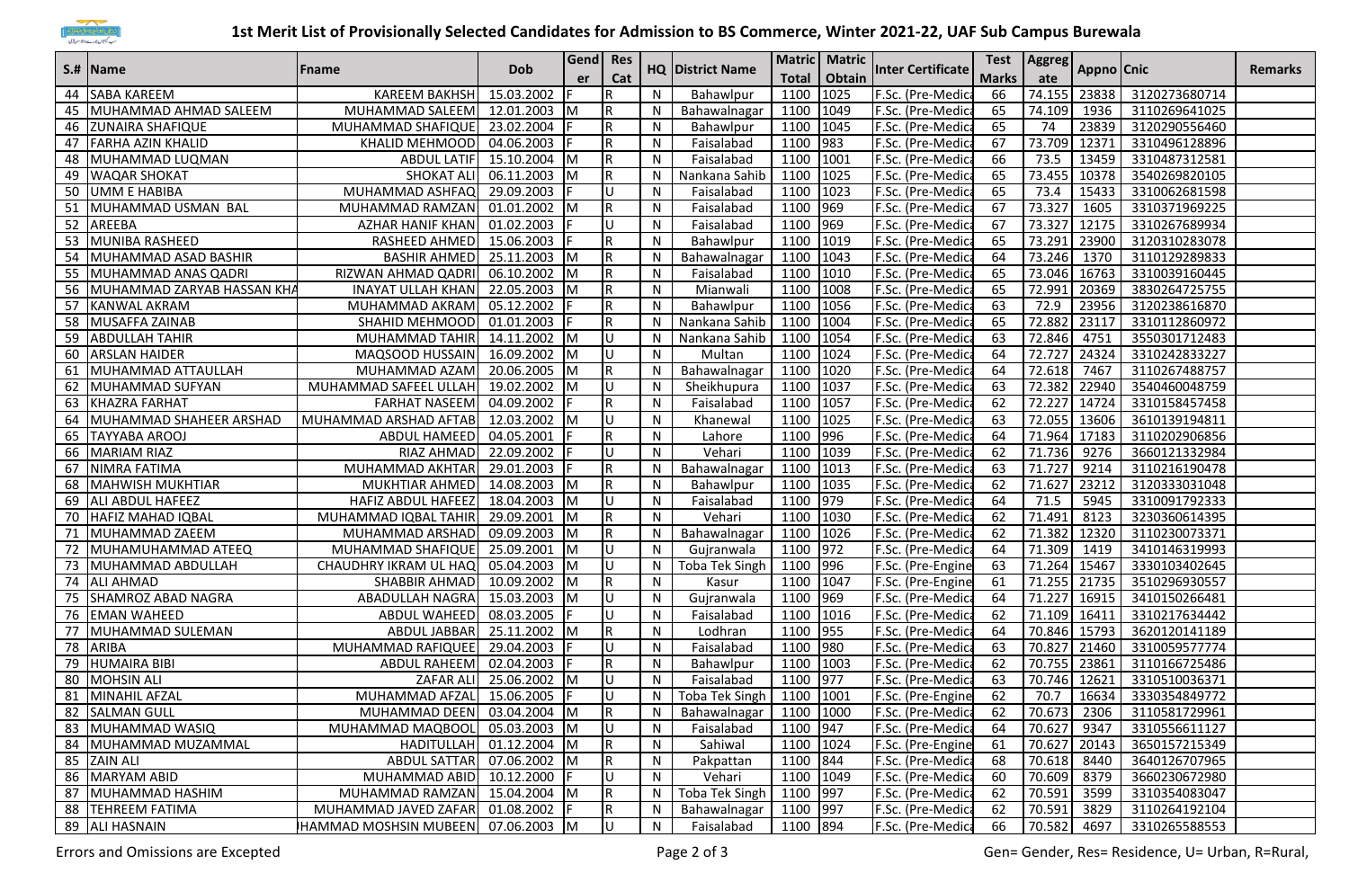

## **1st Merit List of Provisionally Selected Candidates for Admission to BS Commerce, Winter 2021-22, UAF Sub Campus Burewala**

| S.#  Name |                            | Fname                              |                         | Gend Res     |                         |   | <b>HQ District Name</b> |              | Matric   Matric |                          | Test         | Aggreg       |            |                     |                |
|-----------|----------------------------|------------------------------------|-------------------------|--------------|-------------------------|---|-------------------------|--------------|-----------------|--------------------------|--------------|--------------|------------|---------------------|----------------|
|           |                            |                                    | <b>Dob</b>              | er           | Cat                     |   |                         | <b>Total</b> | Obtain          | <b>Inter Certificate</b> | <b>Marks</b> | ate          | Appno Cnic |                     | <b>Remarks</b> |
|           | 44 SABA KAREEM             | <b>KAREEM BAKHSH</b>               | 15.03.2002              |              | R                       | N | Bahawlpur               | 1100         | 1025            | F.Sc. (Pre-Medica        | 66           | 74.155       | 23838      | 3120273680714       |                |
|           | 45 MUHAMMAD AHMAD SALEEM   | MUHAMMAD SALEEM                    | 12.01.2003              | IΜ           | R                       | N | Bahawalnagar            | 1100         | 1049            | F.Sc. (Pre-Medica        | 65           | 74.109       | 1936       | 3110269641025       |                |
| 46        | <b>ZUNAIRA SHAFIQUE</b>    | MUHAMMAD SHAFIQUE                  | 23.02.2004              |              | $\mathsf R$             | N | Bahawlpur               | 1100         | 1045            | F.Sc. (Pre-Medica        | 65           | 74           | 23839      | 3120290556460       |                |
| 47        | <b>FARHA AZIN KHALID</b>   | <b>KHALID MEHMOOD</b>              | 04.06.2003              |              | R                       | N | Faisalabad              | 1100         | 983             | F.Sc. (Pre-Medica        | 67           | 73.709       | 12371      | 3310496128896       |                |
| 48        | MUHAMMAD LUQMAN            | <b>ABDUL LATIF</b>                 | 15.10.2004 M            |              | $\mathsf R$             | N | Faisalabad              | 1100         | 1001            | F.Sc. (Pre-Medica        | 66           | 73.5         | 13459      | 3310487312581       |                |
| 49        | <b>WAQAR SHOKAT</b>        | SHOKAT ALI                         | 06.11.2003 M            |              | IR.                     | N | Nankana Sahib           | 1100         | 1025            | F.Sc. (Pre-Medica        | 65           | 73.455       | 10378      | 3540269820105       |                |
|           | 50 JUMM E HABIBA           | MUHAMMAD ASHFAQ                    | 29.09.2003              |              | lU.                     | N | Faisalabad              | 1100         | 1023            | F.Sc. (Pre-Medica        | 65           | 73.4         | 15433      | 3310062681598       |                |
| 51        | MUHAMMAD USMAN BAL         | MUHAMMAD RAMZAN                    | 01.01.2002 M            |              | IR.                     | N | Faisalabad              | 1100         | 969             | F.Sc. (Pre-Medica        | 67           | 73.327       | 1605       | 3310371969225       |                |
|           | 52 AREEBA                  | <b>AZHAR HANIF KHAN</b>            | 01.02.2003              |              | Iυ                      | N | Faisalabad              | 1100         | 969             | F.Sc. (Pre-Medica        | 67           | 73.327       | 12175      | 3310267689934       |                |
|           | 53 MUNIBA RASHEED          | RASHEED AHMED                      | 15.06.2003              |              | R                       | N | Bahawlpur               | 1100         | 1019            | F.Sc. (Pre-Medica        | 65           | 73.291 23900 |            | 3120310283078       |                |
|           | 54 MUHAMMAD ASAD BASHIR    | <b>BASHIR AHMED</b>                | 25.11.2003              | <b>IM</b>    | IR.                     | N | Bahawalnagar            | 1100         | 1043            | F.Sc. (Pre-Medica        | 64           | 73.246       | 1370       | 3110129289833       |                |
| 55        | MUHAMMAD ANAS QADRI        | RIZWAN AHMAD QADRI                 | 06.10.2002              | Iм           | $\overline{\mathsf{R}}$ | N | Faisalabad              | 1100         | 1010            | F.Sc. (Pre-Medica        | 65           | 73.046       | 16763      | 3310039160445       |                |
| 56        | MUHAMMAD ZARYAB HASSAN KHA | <b>INAYAT ULLAH KHAN</b>           | 22.05.2003              | <b>IM</b>    | $\mathsf R$             | N | Mianwali                | 1100         | 1008            | F.Sc. (Pre-Medica        | 65           | 72.991       | 20369      | 3830264725755       |                |
| 57        | KANWAL AKRAM               | MUHAMMAD AKRAM                     | 05.12.2002              |              | $\mathsf R$             | N | Bahawlpur               | 1100         | 1056            | F.Sc. (Pre-Medica        | 63           | 72.9         | 23956      | 3120238616870       |                |
| 58        | MUSAFFA ZAINAB             | SHAHID MEHMOOD                     | 01.01.2003              |              | $\mathsf R$             | N | Nankana Sahib           | 1100         | 1004            | F.Sc. (Pre-Medica        | 65           | 72.882       | 23117      | 3310112860972       |                |
| 59        | <b>ABDULLAH TAHIR</b>      | MUHAMMAD TAHIR                     | 14.11.2002 M            |              | lU.                     | N | Nankana Sahib           | 1100         | 1054            | F.Sc. (Pre-Medic         | 63           | 72.846       | 4751       | 3550301712483       |                |
| 60        | <b>ARSLAN HAIDER</b>       | MAQSOOD HUSSAIN                    | 16.09.2002              | Iм           | Iυ                      | N | Multan                  | 1100         | 1024            | F.Sc. (Pre-Medic         | 64           | 72.727       | 24324      | 3310242833227       |                |
|           | 61 MUHAMMAD ATTAULLAH      | MUHAMMAD AZAM                      | 20.06.2005              | <b>IM</b>    | R                       | N | Bahawalnagar            | 1100         | 1020            | F.Sc. (Pre-Medica        | 64           | 72.618       | 7467       | 3110267488757       |                |
| 62        | MUHAMMAD SUFYAN            | MUHAMMAD SAFEEL ULLAH              | 19.02.2002              | <b>IM</b>    | ΙU                      | N | Sheikhupura             | 1100         | 1037            | F.Sc. (Pre-Medica        | 63           | 72.382       | 22940      | 3540460048759       |                |
| 63        | KHAZRA FARHAT              | <b>FARHAT NASEEM</b>               | 04.09.2002              |              | $\mathsf R$             | N | Faisalabad              | 1100         | 1057            | F.Sc. (Pre-Medic         | 62           | 72.227       | 14724      | 3310158457458       |                |
| 64        | MUHAMMAD SHAHEER ARSHAD    | MUHAMMAD ARSHAD AFTAB              | 12.03.2002 M            |              | lU.                     | N | Khanewal                | 1100         | 1025            | F.Sc. (Pre-Medica        | 63           | 72.055       | 13606      | 3610139194811       |                |
|           | 65 TAYYABA AROOJ           | ABDUL HAMEED                       | 04.05.2001              |              | $\mathsf R$             | N | Lahore                  | 1100         | 996             | F.Sc. (Pre-Medica        | 64           | 71.964       | 17183      | 3110202906856       |                |
|           | 66 MARIAM RIAZ             | RIAZ AHMAD                         | 22.09.2002              |              | lU.                     | N | Vehari                  | 1100         | 1039            | F.Sc. (Pre-Medica        | 62           | 71.736       | 9276       | 3660121332984       |                |
| 67        | NIMRA FATIMA               | MUHAMMAD AKHTAR                    | 29.01.2003              |              | R                       | N | Bahawalnagar            | 1100         | 1013            | F.Sc. (Pre-Medic         | 63           | 71.727       | 9214       | 3110216190478       |                |
| 68        | <b>MAHWISH MUKHTIAR</b>    | MUKHTIAR AHMED                     | 14.08.2003              | Iм           | R                       | N | Bahawlpur               | 1100         | 1035            | F.Sc. (Pre-Medic         | 62           | 71.627       | 23212      | 3120333031048       |                |
| 69        | <b>ALI ABDUL HAFEEZ</b>    | <b>HAFIZ ABDUL HAFEEZ</b>          | 18.04.2003              |              | lU.                     | N | Faisalabad              | 1100         | 979             | F.Sc. (Pre-Medica        | 64           | 71.5         | 5945       | 3310091792333       |                |
|           | 70 HAFIZ MAHAD IQBAL       | MUHAMMAD IQBAL TAHIR               | 29.09.2001              | <b>IM</b>    | $\mathsf R$             | N | Vehari                  | 1100         | 1030            | F.Sc. (Pre-Medica        | 62           | 71.491       | 8123       | 3230360614395       |                |
| 71        | MUHAMMAD ZAEEM             | MUHAMMAD ARSHAD                    | 09.09.2003              | $\mathsf{M}$ | IR.                     | N | Bahawalnagar            | 1100         | 1026            | F.Sc. (Pre-Medica        | 62           | 71.382       | 12320      | 3110230073371       |                |
| 72        | MUHAMUHAMMAD ATEEQ         | MUHAMMAD SHAFIQUE                  | 25.09.2001              | <b>IM</b>    | Iυ                      | N | Gujranwala              | 1100         | 972             | F.Sc. (Pre-Medica        | 64           | 71.309       | 1419       | 3410146319993       |                |
|           | 73 MUHAMMAD ABDULLAH       | CHAUDHRY IKRAM UL HAQ              | 05.04.2003 M            |              | Iυ                      | N | Toba Tek Singh          | 1100         | 996             | F.Sc. (Pre-Engine        | 63           | 71.264       | 15467      | 3330103402645       |                |
|           | 74 ALI AHMAD               | SHABBIR AHMAD                      | 10.09.2002 M            |              | $\mathsf R$             | N | Kasur                   | 1100         | 1047            | F.Sc. (Pre-Engine        | 61           | 71.255 21735 |            | 3510296930557       |                |
| 75        | <b>SHAMROZ ABAD NAGRA</b>  | ABADULLAH NAGRA                    | 15.03.2003 M            |              | lU.                     | N | Gujranwala              | 1100         | 969             | F.Sc. (Pre-Medica        | 64           | 71.227       | 16915      | 3410150266481       |                |
| 76        | <b>EMAN WAHEED</b>         | ABDUL WAHEED                       | 08.03.2005              |              | U                       | N | Faisalabad              | 1100         | 1016            | F.Sc. (Pre-Medica        | 62           | 71.109       | 16411      | 3310217634442       |                |
| 77        | MUHAMMAD SULEMAN           | ABDUL JABBAR                       | 25.11.2002              | -IM          | $\mathsf R$             | N | Lodhran                 | 1100         | 955             | F.Sc. (Pre-Medica        | 64           | 70.846       | 15793      | 3620120141189       |                |
|           | 78 ARIBA                   | MUHAMMAD RAFIQUEE                  | 29.04.2003              |              | U                       | N | Faisalabad              | 1100         | 980             | F.Sc. (Pre-Medica        | 63           | 70.827 21460 |            | 3310059577774       |                |
|           | 79 HUMAIRA BIBI            | ABDUL RAHEEM                       | 02.04.2003              |              | R.                      | N | Bahawlpur               | 1100         | 1003            | F.Sc. (Pre-Medica        | 62           | 70.755       | 23861      | 3110166725486       |                |
|           | 80 MOHSIN ALI              | ZAFAR ALI                          | 25.06.2002 M            |              | lU.                     | N | Faisalabad              | 1100         | 977             | F.Sc. (Pre-Medica        | 63           | 70.746 12621 |            | 3310510036371       |                |
|           | 81 MINAHIL AFZAL           | MUHAMMAD AFZAL 15.06.2005 F        |                         |              | Iн                      | N | Toba Tek Singh          | 1100   1001  |                 | F.Sc. (Pre-Engine        | 62           | 70.7         |            | 16634 3330354849772 |                |
|           | 82 SALMAN GULL             | MUHAMMAD DEEN 03.04.2004 M         |                         |              | R.                      | N | Bahawalnagar            | 1100 1000    |                 | F.Sc. (Pre-Medica        | 62           | 70.673       | 2306       | 3110581729961       |                |
|           | 83 MUHAMMAD WASIQ          | MUHAMMAD MAQBOOL 05.03.2003 M      |                         |              | Iυ                      | N | Faisalabad              | 1100 947     |                 | F.Sc. (Pre-Medica        | 64           | 70.627       | 9347       | 3310556611127       |                |
|           | 84 MUHAMMAD MUZAMMAL       |                                    | HADITULLAH 01.12.2004 M |              | R.                      | N | Sahiwal                 | 1100 1024    |                 | F.Sc. (Pre-Engine        | 61           | 70.627 20143 |            | 3650157215349       |                |
|           | 85 ZAIN ALI                | ABDUL SATTAR 07.06.2002 M          |                         |              | R.                      | N | Pakpattan               | 1100 844     |                 | F.Sc. (Pre-Medica        | 68           | 70.618       | 8440       | 3640126707965       |                |
|           | 86 MARYAM ABID             | MUHAMMAD ABID 10.12.2000           |                         |              | Iυ                      | N | Vehari                  | 1100 1049    |                 | F.Sc. (Pre-Medica        | 60           | 70.609       | 8379       | 3660230672980       |                |
|           | 87 MUHAMMAD HASHIM         | MUHAMMAD RAMZAN 15.04.2004 M       |                         |              | R.                      | N | Toba Tek Singh          | 1100 997     |                 | F.Sc. (Pre-Medica        | 62           | 70.591       | 3599       | 3310354083047       |                |
|           | 88 TEHREEM FATIMA          | MUHAMMAD JAVED ZAFAR 01.08.2002 F  |                         |              | IR.                     | N | Bahawalnagar            | 1100         | 997             | F.Sc. (Pre-Medica        | 62           | 70.591       | 3829       | 3110264192104       |                |
|           | 89 ALI HASNAIN             | HAMMAD MOSHSIN MUBEEN 07.06.2003 M |                         |              | l∪                      | N | Faisalabad              | 1100 894     |                 | F.Sc. (Pre-Medica        | 66           | 70.582       | 4697       | 3310265588553       |                |